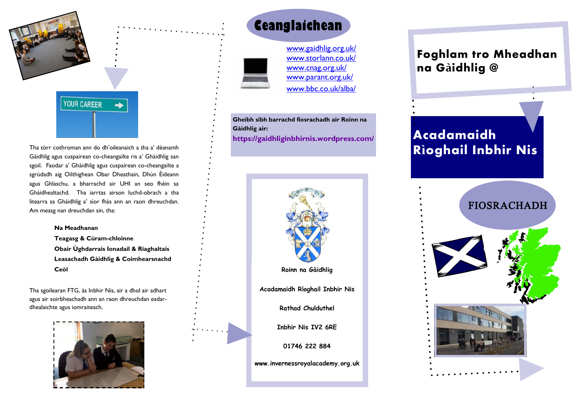

Tha tòrr cothroman ann do dh'oileanaich a tha a' dèanamh Gàidhlig agus cuspairean co-cheangailte ris a' Ghàidhlig san sgoil. Faodar a' Ghàidhlig agus cuspairean co-cheangailte a sgrùdadh aig Oilthighean Obar Dheathain, Dhùn Èideann agus Ghlaschu, a bharrachd air UHI an seo fhèin sa Ghàidhealtachd. Tha iarrtas airson luchd-obrach a tha litearra sa Ghàidhlig a' sìor fhàs ann an raon dhreuchdan. Am measg nan dreuchdan sin, tha:

#### **Na Meadhanan**

**Teagasg & Cùram-chloinne Obair Ùghdarrais Ionadail & Riaghaltais Leasachadh Gàidhlig & Coimhearsnachd Ceòl**

Tha sgoilearan FTG, às Inbhir Nis, air a dhol air adhart agus air soirbheachadh ann an raon dhreuchdan eadardhealaichte agus iomraiteach.





[www.gaidhlig.org.uk/](http://www.gaidhlig.org.uk/) [www.storlann.co.uk/](http://www.storlann.co.uk/) [www.cnag.org.uk/](http://www.cnag.org.uk/) [www.parant.org.uk/](http://www.parant.org.uk/) [www.bbc.co.uk/alba/](http://www.bbc.co.uk/alba/)

**Gheibh sibh barrachd fiosrachadh air Roinn na Gàidhlig air: <https://gaidhliginbhirnis.wordpress.com/>**



## **Foghlam tro Mheadhan na Gàidhlig @**

# **Acadamaidh Rìoghail Inbhir Nis**